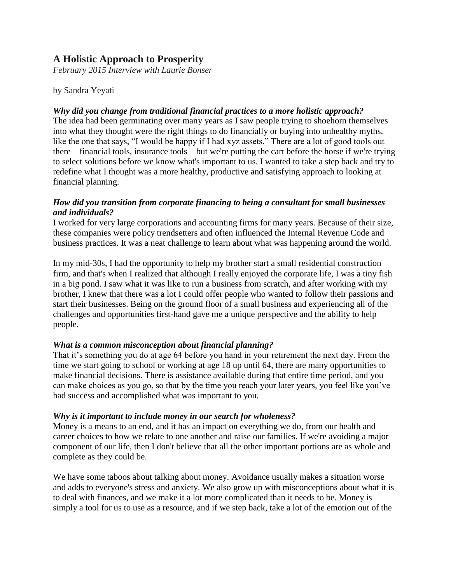# **A Holistic Approach to Prosperity**

*February 2015 Interview with Laurie Bonser*

by Sandra Yeyati

#### *Why did you change from traditional financial practices to a more holistic approach?*

The idea had been germinating over many years as I saw people trying to shoehorn themselves into what they thought were the right things to do financially or buying into unhealthy myths, like the one that says, "I would be happy if I had xyz assets." There are a lot of good tools out there—financial tools, insurance tools—but we're putting the cart before the horse if we're trying to select solutions before we know what's important to us. I wanted to take a step back and try to redefine what I thought was a more healthy, productive and satisfying approach to looking at financial planning.

#### *How did you transition from corporate financing to being a consultant for small businesses and individuals?*

I worked for very large corporations and accounting firms for many years. Because of their size, these companies were policy trendsetters and often influenced the Internal Revenue Code and business practices. It was a neat challenge to learn about what was happening around the world.

In my mid-30s, I had the opportunity to help my brother start a small residential construction firm, and that's when I realized that although I really enjoyed the corporate life, I was a tiny fish in a big pond. I saw what it was like to run a business from scratch, and after working with my brother, I knew that there was a lot I could offer people who wanted to follow their passions and start their businesses. Being on the ground floor of a small business and experiencing all of the challenges and opportunities first-hand gave me a unique perspective and the ability to help people.

## *What is a common misconception about financial planning?*

That it's something you do at age 64 before you hand in your retirement the next day. From the time we start going to school or working at age 18 up until 64, there are many opportunities to make financial decisions. There is assistance available during that entire time period, and you can make choices as you go, so that by the time you reach your later years, you feel like you've had success and accomplished what was important to you.

#### *Why is it important to include money in our search for wholeness?*

Money is a means to an end, and it has an impact on everything we do, from our health and career choices to how we relate to one another and raise our families. If we're avoiding a major component of our life, then I don't believe that all the other important portions are as whole and complete as they could be.

We have some taboos about talking about money. Avoidance usually makes a situation worse and adds to everyone's stress and anxiety. We also grow up with misconceptions about what it is to deal with finances, and we make it a lot more complicated than it needs to be. Money is simply a tool for us to use as a resource, and if we step back, take a lot of the emotion out of the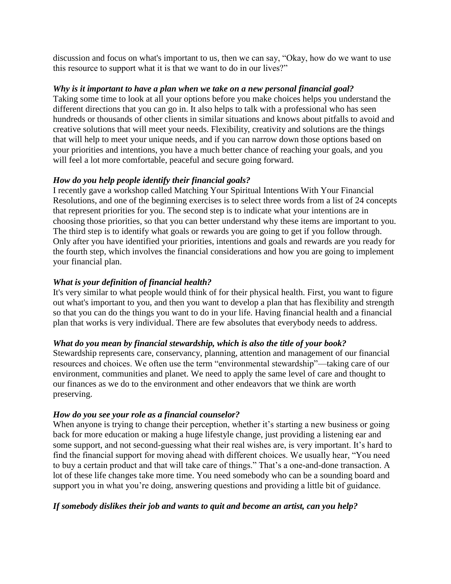discussion and focus on what's important to us, then we can say, "Okay, how do we want to use this resource to support what it is that we want to do in our lives?"

#### *Why is it important to have a plan when we take on a new personal financial goal?*

Taking some time to look at all your options before you make choices helps you understand the different directions that you can go in. It also helps to talk with a professional who has seen hundreds or thousands of other clients in similar situations and knows about pitfalls to avoid and creative solutions that will meet your needs. Flexibility, creativity and solutions are the things that will help to meet your unique needs, and if you can narrow down those options based on your priorities and intentions, you have a much better chance of reaching your goals, and you will feel a lot more comfortable, peaceful and secure going forward.

## *How do you help people identify their financial goals?*

I recently gave a workshop called Matching Your Spiritual Intentions With Your Financial Resolutions, and one of the beginning exercises is to select three words from a list of 24 concepts that represent priorities for you. The second step is to indicate what your intentions are in choosing those priorities, so that you can better understand why these items are important to you. The third step is to identify what goals or rewards you are going to get if you follow through. Only after you have identified your priorities, intentions and goals and rewards are you ready for the fourth step, which involves the financial considerations and how you are going to implement your financial plan.

## *What is your definition of financial health?*

It's very similar to what people would think of for their physical health. First, you want to figure out what's important to you, and then you want to develop a plan that has flexibility and strength so that you can do the things you want to do in your life. Having financial health and a financial plan that works is very individual. There are few absolutes that everybody needs to address.

## *What do you mean by financial stewardship, which is also the title of your book?*

Stewardship represents care, conservancy, planning, attention and management of our financial resources and choices. We often use the term "environmental stewardship"—taking care of our environment, communities and planet. We need to apply the same level of care and thought to our finances as we do to the environment and other endeavors that we think are worth preserving.

## *How do you see your role as a financial counselor?*

When anyone is trying to change their perception, whether it's starting a new business or going back for more education or making a huge lifestyle change, just providing a listening ear and some support, and not second-guessing what their real wishes are, is very important. It's hard to find the financial support for moving ahead with different choices. We usually hear, "You need to buy a certain product and that will take care of things." That's a one-and-done transaction. A lot of these life changes take more time. You need somebody who can be a sounding board and support you in what you're doing, answering questions and providing a little bit of guidance.

## *If somebody dislikes their job and wants to quit and become an artist, can you help?*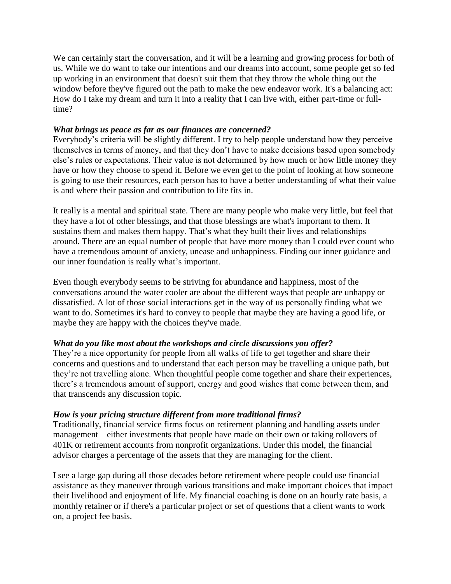We can certainly start the conversation, and it will be a learning and growing process for both of us. While we do want to take our intentions and our dreams into account, some people get so fed up working in an environment that doesn't suit them that they throw the whole thing out the window before they've figured out the path to make the new endeavor work. It's a balancing act: How do I take my dream and turn it into a reality that I can live with, either part-time or fulltime?

#### *What brings us peace as far as our finances are concerned?*

Everybody's criteria will be slightly different. I try to help people understand how they perceive themselves in terms of money, and that they don't have to make decisions based upon somebody else's rules or expectations. Their value is not determined by how much or how little money they have or how they choose to spend it. Before we even get to the point of looking at how someone is going to use their resources, each person has to have a better understanding of what their value is and where their passion and contribution to life fits in.

It really is a mental and spiritual state. There are many people who make very little, but feel that they have a lot of other blessings, and that those blessings are what's important to them. It sustains them and makes them happy. That's what they built their lives and relationships around. There are an equal number of people that have more money than I could ever count who have a tremendous amount of anxiety, unease and unhappiness. Finding our inner guidance and our inner foundation is really what's important.

Even though everybody seems to be striving for abundance and happiness, most of the conversations around the water cooler are about the different ways that people are unhappy or dissatisfied. A lot of those social interactions get in the way of us personally finding what we want to do. Sometimes it's hard to convey to people that maybe they are having a good life, or maybe they are happy with the choices they've made.

## *What do you like most about the workshops and circle discussions you offer?*

They're a nice opportunity for people from all walks of life to get together and share their concerns and questions and to understand that each person may be travelling a unique path, but they're not travelling alone. When thoughtful people come together and share their experiences, there's a tremendous amount of support, energy and good wishes that come between them, and that transcends any discussion topic.

#### *How is your pricing structure different from more traditional firms?*

Traditionally, financial service firms focus on retirement planning and handling assets under management—either investments that people have made on their own or taking rollovers of 401K or retirement accounts from nonprofit organizations. Under this model, the financial advisor charges a percentage of the assets that they are managing for the client.

I see a large gap during all those decades before retirement where people could use financial assistance as they maneuver through various transitions and make important choices that impact their livelihood and enjoyment of life. My financial coaching is done on an hourly rate basis, a monthly retainer or if there's a particular project or set of questions that a client wants to work on, a project fee basis.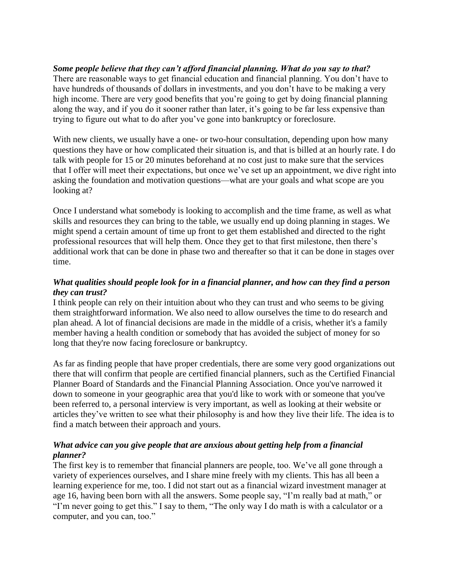*Some people believe that they can't afford financial planning. What do you say to that?* There are reasonable ways to get financial education and financial planning. You don't have to have hundreds of thousands of dollars in investments, and you don't have to be making a very high income. There are very good benefits that you're going to get by doing financial planning along the way, and if you do it sooner rather than later, it's going to be far less expensive than trying to figure out what to do after you've gone into bankruptcy or foreclosure.

With new clients, we usually have a one- or two-hour consultation, depending upon how many questions they have or how complicated their situation is, and that is billed at an hourly rate. I do talk with people for 15 or 20 minutes beforehand at no cost just to make sure that the services that I offer will meet their expectations, but once we've set up an appointment, we dive right into asking the foundation and motivation questions—what are your goals and what scope are you looking at?

Once I understand what somebody is looking to accomplish and the time frame, as well as what skills and resources they can bring to the table, we usually end up doing planning in stages. We might spend a certain amount of time up front to get them established and directed to the right professional resources that will help them. Once they get to that first milestone, then there's additional work that can be done in phase two and thereafter so that it can be done in stages over time.

## *What qualities should people look for in a financial planner, and how can they find a person they can trust?*

I think people can rely on their intuition about who they can trust and who seems to be giving them straightforward information. We also need to allow ourselves the time to do research and plan ahead. A lot of financial decisions are made in the middle of a crisis, whether it's a family member having a health condition or somebody that has avoided the subject of money for so long that they're now facing foreclosure or bankruptcy.

As far as finding people that have proper credentials, there are some very good organizations out there that will confirm that people are certified financial planners, such as the Certified Financial Planner Board of Standards and the Financial Planning Association. Once you've narrowed it down to someone in your geographic area that you'd like to work with or someone that you've been referred to, a personal interview is very important, as well as looking at their website or articles they've written to see what their philosophy is and how they live their life. The idea is to find a match between their approach and yours.

## *What advice can you give people that are anxious about getting help from a financial planner?*

The first key is to remember that financial planners are people, too. We've all gone through a variety of experiences ourselves, and I share mine freely with my clients. This has all been a learning experience for me, too. I did not start out as a financial wizard investment manager at age 16, having been born with all the answers. Some people say, "I'm really bad at math," or "I'm never going to get this." I say to them, "The only way I do math is with a calculator or a computer, and you can, too."